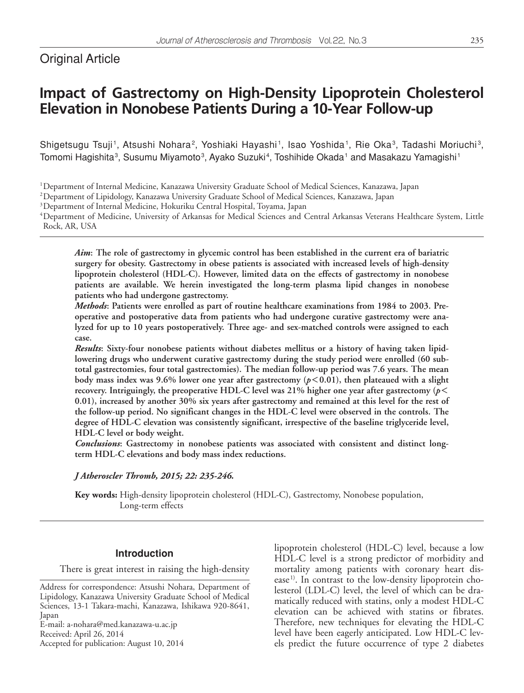# Original Article

# **Impact of Gastrectomy on High-Density Lipoprotein Cholesterol Elevation in Nonobese Patients During a 10-Year Follow-up**

Shigetsugu Tsuji<sup>1</sup>, Atsushi Nohara<sup>2</sup>, Yoshiaki Hayashi<sup>1</sup>, Isao Yoshida<sup>1</sup>, Rie Oka<sup>3</sup>, Tadashi Moriuchi<sup>3</sup>, Tomomi Hagishita<sup>3</sup>, Susumu Miyamoto<sup>3</sup>, Ayako Suzuki<sup>4</sup>, Toshihide Okada<sup>1</sup> and Masakazu Yamagishi<sup>1</sup>

1Department of Internal Medicine, Kanazawa University Graduate School of Medical Sciences, Kanazawa, Japan

2Department of Lipidology, Kanazawa University Graduate School of Medical Sciences, Kanazawa, Japan

3Department of Internal Medicine, Hokuriku Central Hospital, Toyama, Japan

4 Department of Medicine, University of Arkansas for Medical Sciences and Central Arkansas Veterans Healthcare System, Little Rock, AR, USA

*Aim***: The role of gastrectomy in glycemic control has been established in the current era of bariatric surgery for obesity. Gastrectomy in obese patients is associated with increased levels of high-density lipoprotein cholesterol (HDL-C). However, limited data on the effects of gastrectomy in nonobese patients are available. We herein investigated the long-term plasma lipid changes in nonobese patients who had undergone gastrectomy.**

*Methods***: Patients were enrolled as part of routine healthcare examinations from 1984 to 2003. Preoperative and postoperative data from patients who had undergone curative gastrectomy were analyzed for up to 10 years postoperatively. Three age- and sex-matched controls were assigned to each case.**

*Results***: Sixty-four nonobese patients without diabetes mellitus or a history of having taken lipidlowering drugs who underwent curative gastrectomy during the study period were enrolled (60 subtotal gastrectomies, four total gastrectomies). The median follow-up period was 7.6 years. The mean body mass index was 9.6% lower one year after gastrectomy (***p***<0.01), then plateaued with a slight recovery. Intriguingly, the preoperative HDL-C level was 21% higher one year after gastrectomy (***p***< 0.01), increased by another 30% six years after gastrectomy and remained at this level for the rest of the follow-up period. No significant changes in the HDL-C level were observed in the controls. The degree of HDL-C elevation was consistently significant, irrespective of the baseline triglyceride level, HDL-C level or body weight.**

*Conclusions***: Gastrectomy in nonobese patients was associated with consistent and distinct longterm HDL-C elevations and body mass index reductions.**

*J Atheroscler Thromb, 2015; 22: 235-246.*

**Key words:** High-density lipoprotein cholesterol (HDL-C), Gastrectomy, Nonobese population, Long-term effects

# **Introduction**

There is great interest in raising the high-density

E-mail: a-nohara@med.kanazawa-u.ac.jp Received: April 26, 2014

Accepted for publication: August 10, 2014

lipoprotein cholesterol (HDL-C) level, because a low HDL-C level is a strong predictor of morbidity and mortality among patients with coronary heart disease<sup>1)</sup>. In contrast to the low-density lipoprotein cholesterol (LDL-C) level, the level of which can be dramatically reduced with statins, only a modest HDL-C elevation can be achieved with statins or fibrates. Therefore, new techniques for elevating the HDL-C level have been eagerly anticipated. Low HDL-C levels predict the future occurrence of type 2 diabetes

Address for correspondence: Atsushi Nohara, Department of Lipidology, Kanazawa University Graduate School of Medical Sciences, 13-1 Takara-machi, Kanazawa, Ishikawa 920-8641, Japan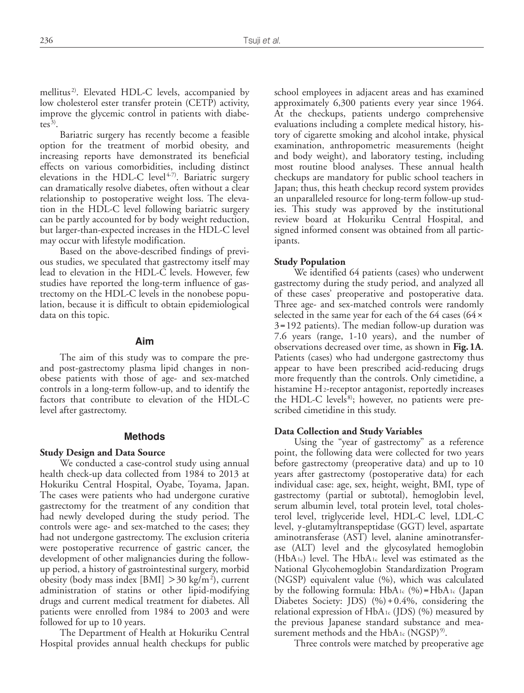mellitus<sup>2)</sup>. Elevated HDL-C levels, accompanied by low cholesterol ester transfer protein (CETP) activity, improve the glycemic control in patients with diabetes $^{3)}$ .

Bariatric surgery has recently become a feasible option for the treatment of morbid obesity, and increasing reports have demonstrated its beneficial effects on various comorbidities, including distinct elevations in the HDL-C level<sup>4-7)</sup>. Bariatric surgery can dramatically resolve diabetes, often without a clear relationship to postoperative weight loss. The elevation in the HDL-C level following bariatric surgery can be partly accounted for by body weight reduction, but larger-than-expected increases in the HDL-C level may occur with lifestyle modification.

Based on the above-described findings of previous studies, we speculated that gastrectomy itself may lead to elevation in the HDL-C levels. However, few studies have reported the long-term influence of gastrectomy on the HDL-C levels in the nonobese population, because it is difficult to obtain epidemiological data on this topic.

#### **Aim**

The aim of this study was to compare the preand post-gastrectomy plasma lipid changes in nonobese patients with those of age- and sex-matched controls in a long-term follow-up, and to identify the factors that contribute to elevation of the HDL-C level after gastrectomy.

#### **Methods**

# **Study Design and Data Source**

We conducted a case-control study using annual health check-up data collected from 1984 to 2013 at Hokuriku Central Hospital, Oyabe, Toyama, Japan. The cases were patients who had undergone curative gastrectomy for the treatment of any condition that had newly developed during the study period. The controls were age- and sex-matched to the cases; they had not undergone gastrectomy. The exclusion criteria were postoperative recurrence of gastric cancer, the development of other malignancies during the followup period, a history of gastrointestinal surgery, morbid obesity (body mass index [BMI]  $>$  30 kg/m<sup>2</sup>), current administration of statins or other lipid-modifying drugs and current medical treatment for diabetes. All patients were enrolled from 1984 to 2003 and were followed for up to 10 years.

The Department of Health at Hokuriku Central Hospital provides annual health checkups for public school employees in adjacent areas and has examined approximately 6,300 patients every year since 1964. At the checkups, patients undergo comprehensive evaluations including a complete medical history, history of cigarette smoking and alcohol intake, physical examination, anthropometric measurements (height and body weight), and laboratory testing, including most routine blood analyses. These annual health checkups are mandatory for public school teachers in Japan; thus, this heath checkup record system provides an unparalleled resource for long-term follow-up studies. This study was approved by the institutional review board at Hokuriku Central Hospital, and signed informed consent was obtained from all participants.

#### **Study Population**

We identified 64 patients (cases) who underwent gastrectomy during the study period, and analyzed all of these cases' preoperative and postoperative data. Three age- and sex-matched controls were randomly selected in the same year for each of the 64 cases (64**×** 3**=**192 patients). The median follow-up duration was 7.6 years (range, 1-10 years), and the number of observations decreased over time, as shown in **Fig.1A**. Patients (cases) who had undergone gastrectomy thus appear to have been prescribed acid-reducing drugs more frequently than the controls. Only cimetidine, a histamine H<sub>2</sub>-receptor antagonist, reportedly increases the HDL-C levels<sup>8)</sup>; however, no patients were prescribed cimetidine in this study.

#### **Data Collection and Study Variables**

Using the "year of gastrectomy" as a reference point, the following data were collected for two years before gastrectomy (preoperative data) and up to 10 years after gastrectomy (postoperative data) for each individual case: age, sex, height, weight, BMI, type of gastrectomy (partial or subtotal), hemoglobin level, serum albumin level, total protein level, total cholesterol level, triglyceride level, HDL-C level, LDL-C level, γ-glutamyltranspeptidase (GGT) level, aspartate aminotransferase (AST) level, alanine aminotransferase (ALT) level and the glycosylated hemoglobin (HbA1c) level. The HbA1c level was estimated as the National Glycohemoglobin Standardization Program (NGSP) equivalent value (%), which was calculated by the following formula: HbA1c (%)**=**HbA1c (Japan Diabetes Society: JDS) (%)**+**0.4%, considering the relational expression of  $HbA_1c$  (JDS) (%) measured by the previous Japanese standard substance and measurement methods and the  $HbA_1c$  (NGSP)<sup>9)</sup>.

Three controls were matched by preoperative age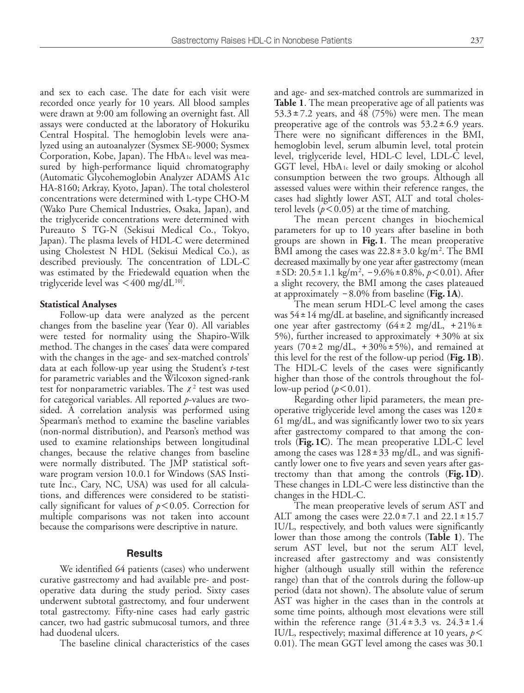and sex to each case. The date for each visit were recorded once yearly for 10 years. All blood samples were drawn at 9:00 am following an overnight fast. All assays were conducted at the laboratory of Hokuriku Central Hospital. The hemoglobin levels were analyzed using an autoanalyzer (Sysmex SE-9000; Sysmex Corporation, Kobe, Japan). The HbA1c level was measured by high-performance liquid chromatography (Automatic Glycohemoglobin Analyzer ADAMS A1c HA-8160; Arkray, Kyoto, Japan). The total cholesterol concentrations were determined with L-type CHO-M (Wako Pure Chemical Industries, Osaka, Japan), and the triglyceride concentrations were determined with Pureauto S TG-N (Sekisui Medical Co., Tokyo, Japan). The plasma levels of HDL-C were determined using Cholestest N HDL (Sekisui Medical Co.), as described previously. The concentration of LDL-C was estimated by the Friedewald equation when the triglyceride level was  $\leq 400$  mg/dL<sup>10)</sup>.

#### **Statistical Analyses**

Follow-up data were analyzed as the percent changes from the baseline year (Year 0). All variables were tested for normality using the Shapiro-Wilk method. The changes in the cases' data were compared with the changes in the age- and sex-matched controls' data at each follow-up year using the Student's *t*-test for parametric variables and the Wilcoxon signed-rank test for nonparametric variables. The  $\chi^2$  test was used for categorical variables. All reported *p*-values are twosided. A correlation analysis was performed using Spearman's method to examine the baseline variables (non-normal distribution), and Pearson's method was used to examine relationships between longitudinal changes, because the relative changes from baseline were normally distributed. The JMP statistical software program version 10.0.1 for Windows (SAS Institute Inc., Cary, NC, USA) was used for all calculations, and differences were considered to be statistically significant for values of *p*<0.05. Correction for multiple comparisons was not taken into account because the comparisons were descriptive in nature.

#### **Results**

We identified 64 patients (cases) who underwent curative gastrectomy and had available pre- and postoperative data during the study period. Sixty cases underwent subtotal gastrectomy, and four underwent total gastrectomy. Fifty-nine cases had early gastric cancer, two had gastric submucosal tumors, and three had duodenal ulcers.

The baseline clinical characteristics of the cases

and age- and sex-matched controls are summarized in **Table 1**. The mean preoperative age of all patients was  $53.3 \pm 7.2$  years, and 48 (75%) were men. The mean preoperative age of the controls was  $53.2 \pm 6.9$  years. There were no significant differences in the BMI, hemoglobin level, serum albumin level, total protein level, triglyceride level, HDL-C level, LDL-C level, GGT level, HbA1c level or daily smoking or alcohol consumption between the two groups. Although all assessed values were within their reference ranges, the cases had slightly lower AST, ALT and total cholesterol levels  $(p<0.05)$  at the time of matching.

The mean percent changes in biochemical parameters for up to 10 years after baseline in both groups are shown in **Fig.1**. The mean preoperative BMI among the cases was  $22.8 \pm 3.0 \text{ kg/m}^2$ . The BMI decreased maximally by one year after gastrectomy (mean **±**SD: 20.5**±**1.1 kg/m2 , **-**9.6%**±**0.8%, *p*<0.01). After a slight recovery, the BMI among the cases plateaued at approximately **-**8.0% from baseline (**Fig.1A**).

The mean serum HDL-C level among the cases was 54**±**14 mg/dL at baseline, and significantly increased one year after gastrectomy (64**±**2 mg/dL, +21%**±** 5%), further increased to approximately  $+30\%$  at six years  $(70\pm2 \text{ mg/dL}, +30\% \pm 5\%)$ , and remained at this level for the rest of the follow-up period (**Fig.1B**). The HDL-C levels of the cases were significantly higher than those of the controls throughout the follow-up period  $(p<0.01)$ .

Regarding other lipid parameters, the mean preoperative triglyceride level among the cases was 120**±** 61 mg/dL, and was significantly lower two to six years after gastrectomy compared to that among the controls (**Fig.1C**). The mean preoperative LDL-C level among the cases was 128**±**33 mg/dL, and was significantly lower one to five years and seven years after gastrectomy than that among the controls (**Fig.1D**). These changes in LDL-C were less distinctive than the changes in the HDL-C.

The mean preoperative levels of serum AST and ALT among the cases were 22.0**±**7.1 and 22.1**±**15.7 IU/L, respectively, and both values were significantly lower than those among the controls (**Table 1**). The serum AST level, but not the serum ALT level, increased after gastrectomy and was consistently higher (although usually still within the reference range) than that of the controls during the follow-up period (data not shown). The absolute value of serum AST was higher in the cases than in the controls at some time points, although most elevations were still within the reference range (31.4**±**3.3 vs. 24.3**±**1.4 IU/L, respectively; maximal difference at 10 years, *p*< 0.01). The mean GGT level among the cases was 30.1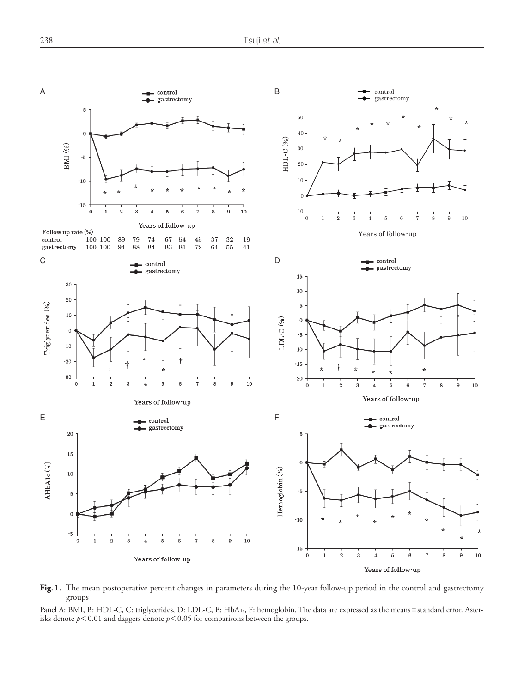

**Fig.1.** The mean postoperative percent changes in parameters during the 10-year follow-up period in the control and gastrectomy groups

Panel A: BMI, B: HDL-C, C: triglycerides, D: LDL-C, E: HbA1c, F: hemoglobin. The data are expressed as the means ± standard error. Asterisks denote  $p < 0.01$  and daggers denote  $p < 0.05$  for comparisons between the groups.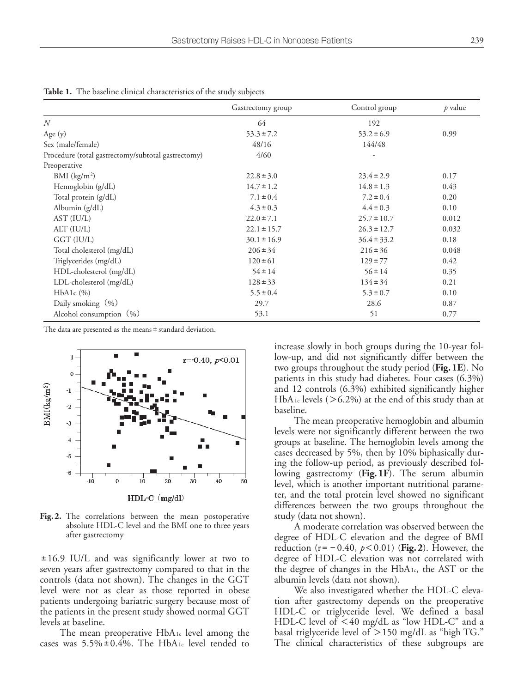| 전 사<br>۰           |              |
|--------------------|--------------|
| . .<br>I<br>٧<br>× | I<br>۰,<br>٧ |

|                                                    | Gastrectomy group | Control group   | $p$ value |
|----------------------------------------------------|-------------------|-----------------|-----------|
| N                                                  | 64                | 192             |           |
| Age $(y)$                                          | $53.3 \pm 7.2$    | $53.2 \pm 6.9$  | 0.99      |
| Sex (male/female)                                  | 48/16             | 144/48          |           |
| Procedure (total gastrectomy/subtotal gastrectomy) | 4/60              |                 |           |
| Preoperative                                       |                   |                 |           |
| BMI $(kg/m2)$                                      | $22.8 \pm 3.0$    | $23.4 \pm 2.9$  | 0.17      |
| Hemoglobin (g/dL)                                  | $14.7 \pm 1.2$    | $14.8 \pm 1.3$  | 0.43      |
| Total protein (g/dL)                               | $7.1 \pm 0.4$     | $7.2 \pm 0.4$   | 0.20      |
| Albumin (g/dL)                                     | $4.3 \pm 0.3$     | $4.4 \pm 0.3$   | 0.10      |
| AST (IU/L)                                         | $22.0 \pm 7.1$    | $25.7 \pm 10.7$ | 0.012     |
| ALT (IU/L)                                         | $22.1 \pm 15.7$   | $26.3 \pm 12.7$ | 0.032     |
| GGT (IU/L)                                         | $30.1 \pm 16.9$   | $36.4 \pm 33.2$ | 0.18      |
| Total cholesterol (mg/dL)                          | $206 \pm 34$      | $216 \pm 36$    | 0.048     |
| Triglycerides (mg/dL)                              | $120 \pm 61$      | $129 \pm 77$    | 0.42      |
| HDL-cholesterol (mg/dL)                            | $54 \pm 14$       | $56 \pm 14$     | 0.35      |
| LDL-cholesterol (mg/dL)                            | $128 \pm 33$      | $134 \pm 34$    | 0.21      |
| HbA1c (%)                                          | $5.5 \pm 0.4$     | $5.3 \pm 0.7$   | 0.10      |
| Daily smoking $(\% )$                              | 29.7              | 28.6            | 0.87      |
| Alcohol consumption $(%)$                          | 53.1              | 51              | 0.77      |

**Table 1.** The baseline clinical characteristics of the study subjects

The data are presented as the means ± standard deviation.



**Fig.2.** The correlations between the mean postoperative absolute HDL-C level and the BMI one to three years after gastrectomy

**±**16.9 IU/L and was significantly lower at two to seven years after gastrectomy compared to that in the controls (data not shown). The changes in the GGT level were not as clear as those reported in obese patients undergoing bariatric surgery because most of the patients in the present study showed normal GGT levels at baseline.

The mean preoperative HbA1c level among the cases was 5.5%**±**0.4%. The HbA1c level tended to

increase slowly in both groups during the 10-year follow-up, and did not significantly differ between the two groups throughout the study period (**Fig.1E**). No patients in this study had diabetes. Four cases (6.3%) and 12 controls (6.3%) exhibited significantly higher HbA<sub>1c</sub> levels ( $> 6.2\%$ ) at the end of this study than at baseline.

The mean preoperative hemoglobin and albumin levels were not significantly different between the two groups at baseline. The hemoglobin levels among the cases decreased by 5%, then by 10% biphasically during the follow-up period, as previously described following gastrectomy (**Fig.1F**). The serum albumin level, which is another important nutritional parameter, and the total protein level showed no significant differences between the two groups throughout the study (data not shown).

A moderate correlation was observed between the degree of HDL-C elevation and the degree of BMI reduction ( $r = -0.40$ ,  $p < 0.01$ ) (**Fig. 2**). However, the degree of HDL-C elevation was not correlated with the degree of changes in the HbA1c, the AST or the albumin levels (data not shown).

We also investigated whether the HDL-C elevation after gastrectomy depends on the preoperative HDL-C or triglyceride level. We defined a basal HDL-C level of <40 mg/dL as "low HDL-C" and a basal triglyceride level of >150 mg/dL as "high TG." The clinical characteristics of these subgroups are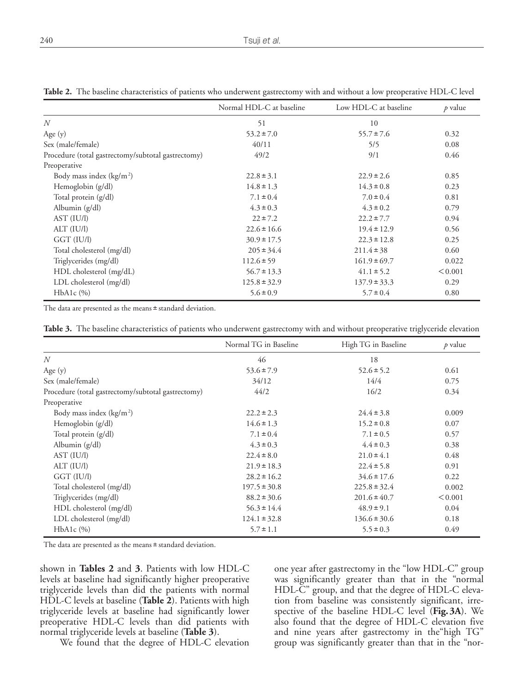|                                                    | Normal HDL-C at baseline | Low HDL-C at baseline | $p$ value |
|----------------------------------------------------|--------------------------|-----------------------|-----------|
| $\overline{N}$                                     | 51                       | 10                    |           |
| Age $(y)$                                          | $53.2 \pm 7.0$           | $55.7 \pm 7.6$        | 0.32      |
| Sex (male/female)                                  | 40/11                    | 5/5                   | 0.08      |
| Procedure (total gastrectomy/subtotal gastrectomy) | 49/2                     | 9/1                   | 0.46      |
| Preoperative                                       |                          |                       |           |
| Body mass index $(kg/m2)$                          | $22.8 \pm 3.1$           | $22.9 \pm 2.6$        | 0.85      |
| Hemoglobin (g/dl)                                  | $14.8 \pm 1.3$           | $14.3 \pm 0.8$        | 0.23      |
| Total protein (g/dl)                               | $7.1 \pm 0.4$            | $7.0 \pm 0.4$         | 0.81      |
| Albumin (g/dl)                                     | $4.3 \pm 0.3$            | $4.3 \pm 0.2$         | 0.79      |
| AST (IU/I)                                         | $22 \pm 7.2$             | $22.2 \pm 7.7$        | 0.94      |
| ALT (IU/I)                                         | $22.6 \pm 16.6$          | $19.4 \pm 12.9$       | 0.56      |
| GGT (IU/l)                                         | $30.9 \pm 17.5$          | $22.3 \pm 12.8$       | 0.25      |
| Total cholesterol (mg/dl)                          | $205 \pm 34.4$           | $211.4 \pm 38$        | 0.60      |
| Triglycerides (mg/dl)                              | $112.6 \pm 59$           | $161.9 \pm 69.7$      | 0.022     |
| HDL cholesterol (mg/dL)                            | $56.7 \pm 13.3$          | $41.1 \pm 5.2$        | < 0.001   |
| LDL cholesterol (mg/dl)                            | $125.8 \pm 32.9$         | $137.9 \pm 33.3$      | 0.29      |
| HbA1c (%)                                          | $5.6 \pm 0.9$            | $5.7 \pm 0.4$         | 0.80      |

**Table 2.** The baseline characteristics of patients who underwent gastrectomy with and without a low preoperative HDL-C level

The data are presented as the means ± standard deviation.

| Table 3. The baseline characteristics of patients who underwent gastrectomy with and without preoperative triglyceride elevation |  |  |  |  |  |
|----------------------------------------------------------------------------------------------------------------------------------|--|--|--|--|--|
|----------------------------------------------------------------------------------------------------------------------------------|--|--|--|--|--|

|                                                    | Normal TG in Baseline | High TG in Baseline | $p$ value |
|----------------------------------------------------|-----------------------|---------------------|-----------|
| N                                                  | 46                    | 18                  |           |
| Age $(y)$                                          | $53.6 \pm 7.9$        | $52.6 \pm 5.2$      | 0.61      |
| Sex (male/female)                                  | 34/12                 | 14/4                | 0.75      |
| Procedure (total gastrectomy/subtotal gastrectomy) | 44/2                  | 16/2                | 0.34      |
| Preoperative                                       |                       |                     |           |
| Body mass index $(kg/m2)$                          | $22.2 \pm 2.3$        | $24.4 \pm 3.8$      | 0.009     |
| Hemoglobin (g/dl)                                  | $14.6 \pm 1.3$        | $15.2 \pm 0.8$      | 0.07      |
| Total protein (g/dl)                               | $7.1 \pm 0.4$         | $7.1 \pm 0.5$       | 0.57      |
| Albumin (g/dl)                                     | $4.3 \pm 0.3$         | $4.4 \pm 0.3$       | 0.38      |
| AST (IU/I)                                         | $22.4 \pm 8.0$        | $21.0 \pm 4.1$      | 0.48      |
| ALT (IU/I)                                         | $21.9 \pm 18.3$       | $22.4 \pm 5.8$      | 0.91      |
| GGT (IU/l)                                         | $28.2 \pm 16.2$       | $34.6 \pm 17.6$     | 0.22      |
| Total cholesterol (mg/dl)                          | $197.5 \pm 30.8$      | $225.8 \pm 32.4$    | 0.002     |
| Triglycerides (mg/dl)                              | $88.2 \pm 30.6$       | $201.6 \pm 40.7$    | < 0.001   |
| HDL cholesterol (mg/dl)                            | $56.3 \pm 14.4$       | $48.9 \pm 9.1$      | 0.04      |
| LDL cholesterol (mg/dl)                            | $124.1 \pm 32.8$      | $136.6 \pm 30.6$    | 0.18      |
| HbA1c (%)                                          | $5.7 \pm 1.1$         | $5.5 \pm 0.3$       | 0.49      |

The data are presented as the means ± standard deviation.

shown in **Tables 2** and **3**. Patients with low HDL-C levels at baseline had significantly higher preoperative triglyceride levels than did the patients with normal HDL-C levels at baseline (**Table 2**). Patients with high triglyceride levels at baseline had significantly lower preoperative HDL-C levels than did patients with normal triglyceride levels at baseline (**Table 3**).

We found that the degree of HDL-C elevation

one year after gastrectomy in the "low HDL-C" group was significantly greater than that in the "normal HDL-C" group, and that the degree of HDL-C elevation from baseline was consistently significant, irrespective of the baseline HDL-C level (**Fig.3A**). We also found that the degree of HDL-C elevation five and nine years after gastrectomy in the"high TG" group was significantly greater than that in the "nor-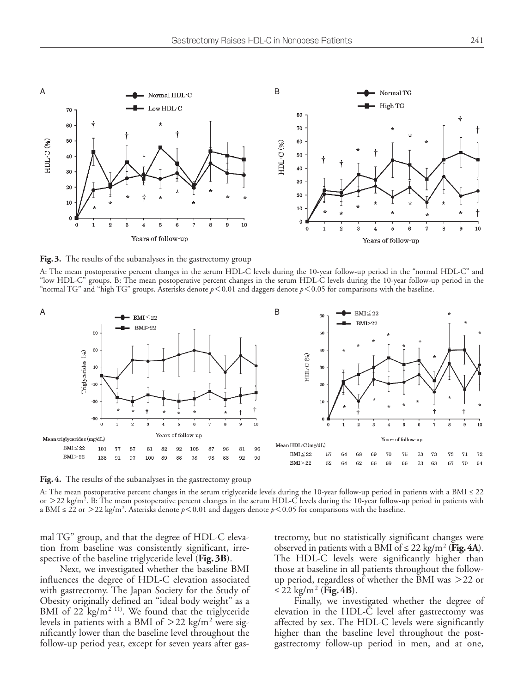

**Fig.3.** The results of the subanalyses in the gastrectomy group

A: The mean postoperative percent changes in the serum HDL-C levels during the 10-year follow-up period in the "normal HDL-C" and "low HDL-C" groups. B: The mean postoperative percent changes in the serum HDL-C levels during the 10-year follow-up period in the "normal TG" and "high TG" groups. Asterisks denote *p*<0.01 and daggers denote *p*<0.05 for comparisons with the baseline.



**Fig.4.** The results of the subanalyses in the gastrectomy group

A: The mean postoperative percent changes in the serum triglyceride levels during the 10-year follow-up period in patients with a BMI ≤ 22 or  $>$  22 kg/m<sup>2</sup>. B: The mean postoperative percent changes in the serum HDL-C levels during the 10-year follow-up period in patients with a BMI ≤ 22 or >22 kg/m2 . Asterisks denote *p*<0.01 and daggers denote *p*<0.05 for comparisons with the baseline.

mal TG" group, and that the degree of HDL-C elevation from baseline was consistently significant, irrespective of the baseline triglyceride level (**Fig.3B**).

Next, we investigated whether the baseline BMI influences the degree of HDL-C elevation associated with gastrectomy. The Japan Society for the Study of Obesity originally defined an "ideal body weight" as a BMI of  $22$  kg/m<sup>2 11)</sup>. We found that the triglyceride levels in patients with a BMI of  $>$  22 kg/m<sup>2</sup> were significantly lower than the baseline level throughout the follow-up period year, except for seven years after gastrectomy, but no statistically significant changes were observed in patients with a BMI of  $\leq 22$  kg/m<sup>2</sup> (Fig. 4A). The HDL-C levels were significantly higher than those at baseline in all patients throughout the followup period, regardless of whether the BMI was >22 or  $\leq$  22 kg/m<sup>2</sup> (**Fig. 4B**).

Finally, we investigated whether the degree of elevation in the HDL-C level after gastrectomy was affected by sex. The HDL-C levels were significantly higher than the baseline level throughout the postgastrectomy follow-up period in men, and at one,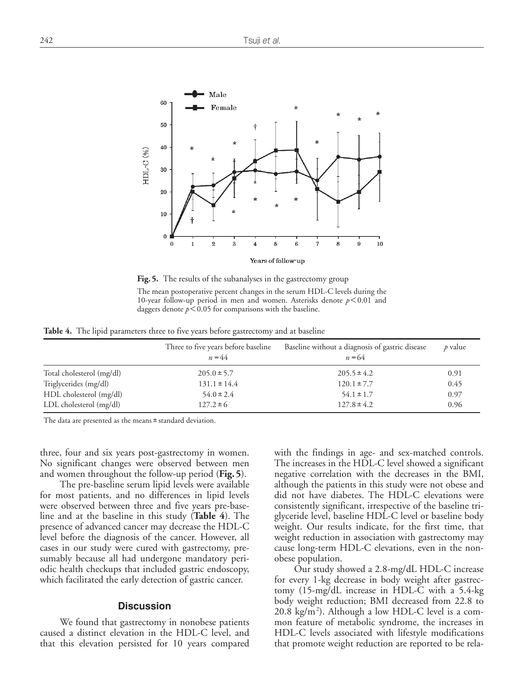

**Fig.5.** The results of the subanalyses in the gastrectomy group The mean postoperative percent changes in the serum HDL-C levels during the 10-year follow-up period in men and women. Asterisks denote *p*<0.01 and daggers denote  $p < 0.05$  for comparisons with the baseline.

**Table 4.** The lipid parameters three to five years before gastrectomy and at baseline

|                           | Three to five years before baseline<br>$n = 44$ | Baseline without a diagnosis of gastric disease<br>$n = 64$ | $p$ value |
|---------------------------|-------------------------------------------------|-------------------------------------------------------------|-----------|
| Total cholesterol (mg/dl) | $205.0 \pm 5.7$                                 | $205.5 \pm 4.2$                                             | 0.91      |
| Triglycerides (mg/dl)     | $131.1 \pm 14.4$                                | $120.1 \pm 7.7$                                             | 0.45      |
| HDL cholesterol (mg/dl)   | $54.0 \pm 2.4$                                  | $54.1 \pm 1.7$                                              | 0.97      |
| LDL cholesterol (mg/dl)   | $127.2 \pm 6$                                   | $127.8 \pm 4.2$                                             | 0.96      |

The data are presented as the means ± standard deviation.

three, four and six years post-gastrectomy in women. No significant changes were observed between men and women throughout the follow-up period (**Fig.5**).

The pre-baseline serum lipid levels were available for most patients, and no differences in lipid levels were observed between three and five years pre-baseline and at the baseline in this study (**Table 4**). The presence of advanced cancer may decrease the HDL-C level before the diagnosis of the cancer. However, all cases in our study were cured with gastrectomy, presumably because all had undergone mandatory periodic health checkups that included gastric endoscopy, which facilitated the early detection of gastric cancer.

#### **Discussion**

We found that gastrectomy in nonobese patients caused a distinct elevation in the HDL-C level, and that this elevation persisted for 10 years compared with the findings in age- and sex-matched controls. The increases in the HDL-C level showed a significant negative correlation with the decreases in the BMI, although the patients in this study were not obese and did not have diabetes. The HDL-C elevations were consistently significant, irrespective of the baseline triglyceride level, baseline HDL-C level or baseline body weight. Our results indicate, for the first time, that weight reduction in association with gastrectomy may cause long-term HDL-C elevations, even in the nonobese population.

Our study showed a 2.8-mg/dL HDL-C increase for every 1-kg decrease in body weight after gastrectomy (15-mg/dL increase in HDL-C with a 5.4-kg body weight reduction; BMI decreased from 22.8 to 20.8 kg/m<sup>2</sup>). Although a low HDL-C level is a common feature of metabolic syndrome, the increases in HDL-C levels associated with lifestyle modifications that promote weight reduction are reported to be rela-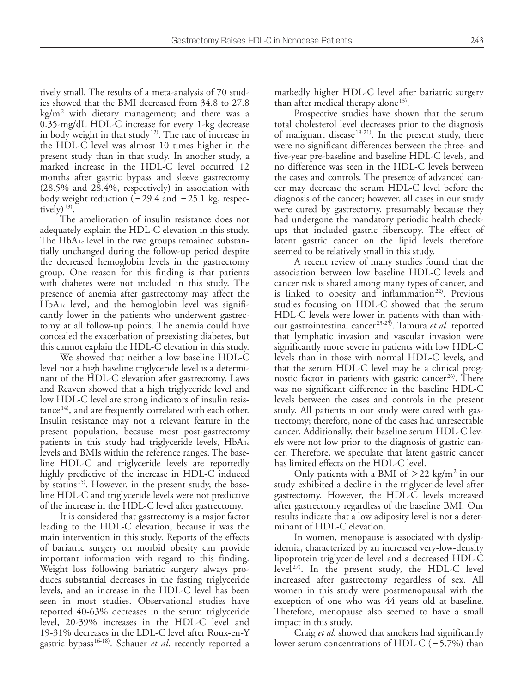tively small. The results of a meta-analysis of 70 studies showed that the BMI decreased from 34.8 to 27.8 kg/m2 with dietary management; and there was a 0.35-mg/dL HDL-C increase for every 1-kg decrease in body weight in that study 12). The rate of increase in the HDL-C level was almost 10 times higher in the present study than in that study. In another study, a marked increase in the HDL-C level occurred 12 months after gastric bypass and sleeve gastrectomy (28.5% and 28.4%, respectively) in association with body weight reduction  $(-29.4 \text{ and } -25.1 \text{ kg}, \text{respec-}$ tively)<sup>13)</sup>.

The amelioration of insulin resistance does not adequately explain the HDL-C elevation in this study. The  $HbA_1c$  level in the two groups remained substantially unchanged during the follow-up period despite the decreased hemoglobin levels in the gastrectomy group. One reason for this finding is that patients with diabetes were not included in this study. The presence of anemia after gastrectomy may affect the HbA1c level, and the hemoglobin level was significantly lower in the patients who underwent gastrectomy at all follow-up points. The anemia could have concealed the exacerbation of preexisting diabetes, but this cannot explain the HDL-C elevation in this study.

We showed that neither a low baseline HDL-C level nor a high baseline triglyceride level is a determinant of the HDL-C elevation after gastrectomy. Laws and Reaven showed that a high triglyceride level and low HDL-C level are strong indicators of insulin resistance<sup>14)</sup>, and are frequently correlated with each other. Insulin resistance may not a relevant feature in the present population, because most post-gastrectomy patients in this study had triglyceride levels, HbA1c levels and BMIs within the reference ranges. The baseline HDL-C and triglyceride levels are reportedly highly predictive of the increase in HDL-C induced by statins<sup>15)</sup>. However, in the present study, the baseline HDL-C and triglyceride levels were not predictive of the increase in the HDL-C level after gastrectomy.

It is considered that gastrectomy is a major factor leading to the HDL-C elevation, because it was the main intervention in this study. Reports of the effects of bariatric surgery on morbid obesity can provide important information with regard to this finding. Weight loss following bariatric surgery always produces substantial decreases in the fasting triglyceride levels, and an increase in the HDL-C level has been seen in most studies. Observational studies have reported 40-63% decreases in the serum triglyceride level, 20-39% increases in the HDL-C level and 19-31% decreases in the LDL-C level after Roux-en-Y gastric bypass 16-18). Schauer *et al*. recently reported a

markedly higher HDL-C level after bariatric surgery than after medical therapy alone<sup>13)</sup>.

Prospective studies have shown that the serum total cholesterol level decreases prior to the diagnosis of malignant disease<sup>19-21)</sup>. In the present study, there were no significant differences between the three- and five-year pre-baseline and baseline HDL-C levels, and no difference was seen in the HDL-C levels between the cases and controls. The presence of advanced cancer may decrease the serum HDL-C level before the diagnosis of the cancer; however, all cases in our study were cured by gastrectomy, presumably because they had undergone the mandatory periodic health checkups that included gastric fiberscopy. The effect of latent gastric cancer on the lipid levels therefore seemed to be relatively small in this study.

A recent review of many studies found that the association between low baseline HDL-C levels and cancer risk is shared among many types of cancer, and is linked to obesity and inflammation<sup>22)</sup>. Previous studies focusing on HDL-C showed that the serum HDL-C levels were lower in patients with than without gastrointestinal cancer 23-25). Tamura *et al*. reported that lymphatic invasion and vascular invasion were significantly more severe in patients with low HDL-C levels than in those with normal HDL-C levels, and that the serum HDL-C level may be a clinical prognostic factor in patients with gastric cancer<sup>26)</sup>. There was no significant difference in the baseline HDL-C levels between the cases and controls in the present study. All patients in our study were cured with gastrectomy; therefore, none of the cases had unresectable cancer. Additionally, their baseline serum HDL-C levels were not low prior to the diagnosis of gastric cancer. Therefore, we speculate that latent gastric cancer has limited effects on the HDL-C level.

Only patients with a BMI of  $>$  22 kg/m<sup>2</sup> in our study exhibited a decline in the triglyceride level after gastrectomy. However, the HDL-C levels increased after gastrectomy regardless of the baseline BMI. Our results indicate that a low adiposity level is not a determinant of HDL-C elevation.

In women, menopause is associated with dyslipidemia, characterized by an increased very-low-density lipoprotein triglyceride level and a decreased HDL-C level<sup>27)</sup>. In the present study, the HDL-C level increased after gastrectomy regardless of sex. All women in this study were postmenopausal with the exception of one who was 44 years old at baseline. Therefore, menopause also seemed to have a small impact in this study.

Craig *et al*. showed that smokers had significantly lower serum concentrations of HDL-C  $(-5.7%)$  than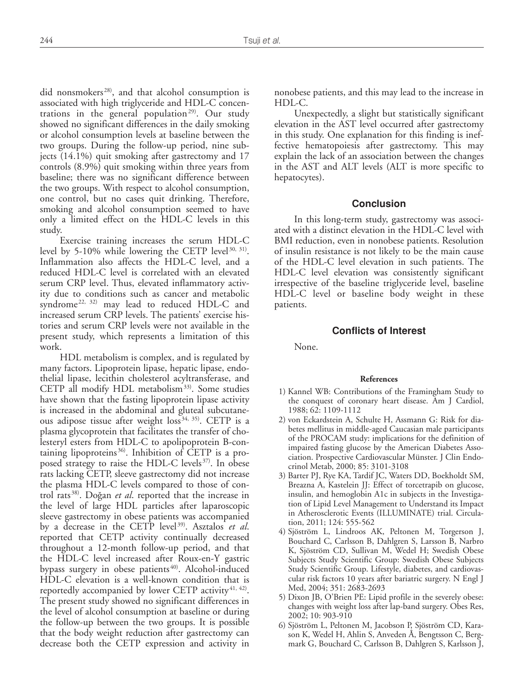did nonsmokers<sup>28)</sup>, and that alcohol consumption is associated with high triglyceride and HDL-C concentrations in the general population<sup>29)</sup>. Our study showed no significant differences in the daily smoking or alcohol consumption levels at baseline between the two groups. During the follow-up period, nine subjects (14.1%) quit smoking after gastrectomy and 17 controls (8.9%) quit smoking within three years from baseline; there was no significant difference between the two groups. With respect to alcohol consumption, one control, but no cases quit drinking. Therefore, smoking and alcohol consumption seemed to have only a limited effect on the HDL-C levels in this study.

Exercise training increases the serum HDL-C level by 5-10% while lowering the CETP level $30, 31$ . Inflammation also affects the HDL-C level, and a reduced HDL-C level is correlated with an elevated serum CRP level. Thus, elevated inflammatory activity due to conditions such as cancer and metabolic syndrome<sup>22, 32)</sup> may lead to reduced HDL-C and increased serum CRP levels. The patients' exercise histories and serum CRP levels were not available in the present study, which represents a limitation of this work.

HDL metabolism is complex, and is regulated by many factors. Lipoprotein lipase, hepatic lipase, endothelial lipase, lecithin cholesterol acyltransferase, and CETP all modify HDL metabolism<sup>33)</sup>. Some studies have shown that the fasting lipoprotein lipase activity is increased in the abdominal and gluteal subcutaneous adipose tissue after weight  $loss<sup>34, 35</sup>$ . CETP is a plasma glycoprotein that facilitates the transfer of cholesteryl esters from HDL-C to apolipoprotein B-containing lipoproteins  $36$ . Inhibition of CETP is a proposed strategy to raise the HDL-C levels $37$ . In obese rats lacking CETP, sleeve gastrectomy did not increase the plasma HDL-C levels compared to those of control rats<sup>38)</sup>. Doğan *et al*. reported that the increase in the level of large HDL particles after laparoscopic sleeve gastrectomy in obese patients was accompanied by a decrease in the CETP level<sup>39)</sup>. Asztalos et al. reported that CETP activity continually decreased throughout a 12-month follow-up period, and that the HDL-C level increased after Roux-en-Y gastric bypass surgery in obese patients<sup>40)</sup>. Alcohol-induced HDL-C elevation is a well-known condition that is reportedly accompanied by lower CETP activity $41, 42$ . The present study showed no significant differences in the level of alcohol consumption at baseline or during the follow-up between the two groups. It is possible that the body weight reduction after gastrectomy can decrease both the CETP expression and activity in

nonobese patients, and this may lead to the increase in HDL-C.

Unexpectedly, a slight but statistically significant elevation in the AST level occurred after gastrectomy in this study. One explanation for this finding is ineffective hematopoiesis after gastrectomy. This may explain the lack of an association between the changes in the AST and ALT levels (ALT is more specific to hepatocytes).

### **Conclusion**

In this long-term study, gastrectomy was associated with a distinct elevation in the HDL-C level with BMI reduction, even in nonobese patients. Resolution of insulin resistance is not likely to be the main cause of the HDL-C level elevation in such patients. The HDL-C level elevation was consistently significant irrespective of the baseline triglyceride level, baseline HDL-C level or baseline body weight in these patients.

## **Conflicts of Interest**

None.

#### **References**

- 1) Kannel WB: Contributions of the Framingham Study to the conquest of coronary heart disease. Am J Cardiol, 1988; 62: 1109-1112
- 2) von Eckardstein A, Schulte H, Assmann G: Risk for diabetes mellitus in middle-aged Caucasian male participants of the PROCAM study: implications for the definition of impaired fasting glucose by the American Diabetes Association. Prospective Cardiovascular Münster. J Clin Endocrinol Metab, 2000; 85: 3101-3108
- 3) Barter PJ, Rye KA, Tardif JC, Waters DD, Boekholdt SM, Breazna A, Kastelein JJ: Effect of torcetrapib on glucose, insulin, and hemoglobin A1c in subjects in the Investigation of Lipid Level Management to Understand its Impact in Atherosclerotic Events (ILLUMINATE) trial. Circulation, 2011; 124: 555-562
- 4) Sjöström L, Lindroos AK, Peltonen M, Torgerson J, Bouchard C, Carlsson B, Dahlgren S, Larsson B, Narbro K, Sjöström CD, Sullivan M, Wedel H; Swedish Obese Subjects Study Scientific Group: Swedish Obese Subjects Study Scientific Group. Lifestyle, diabetes, and cardiovascular risk factors 10 years after bariatric surgery. N Engl J Med, 2004; 351: 2683-2693
- 5) Dixon JB, O'Brien PE: Lipid profile in the severely obese: changes with weight loss after lap-band surgery. Obes Res, 2002; 10: 903-910
- 6) Sjöström L, Peltonen M, Jacobson P, Sjöström CD, Karason K, Wedel H, Ahlin S, Anveden Å, Bengtsson C, Bergmark G, Bouchard C, Carlsson B, Dahlgren S, Karlsson J,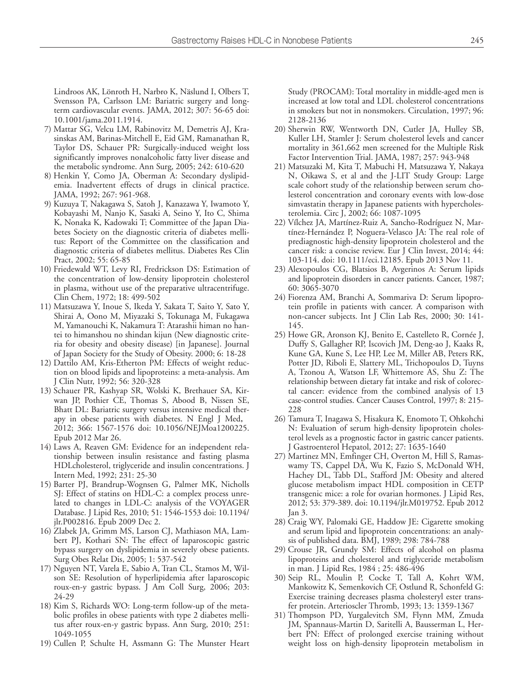Lindroos AK, Lönroth H, Narbro K, Näslund I, Olbers T, Svensson PA, Carlsson LM: Bariatric surgery and longterm cardiovascular events. JAMA, 2012; 307: 56-65 doi: 10.1001/jama.2011.1914.

- 7) Mattar SG, Velcu LM, Rabinovitz M, Demetris AJ, Krasinskas AM, Barinas-Mitchell E, Eid GM, Ramanathan R, Taylor DS, Schauer PR: Surgically-induced weight loss significantly improves nonalcoholic fatty liver disease and the metabolic syndrome. Ann Surg, 2005; 242: 610-620
- 8) Henkin Y, Como JA, Oberman A: Secondary dyslipidemia. Inadvertent effects of drugs in clinical practice. JAMA, 1992; 267: 961-968.
- 9) Kuzuya T, Nakagawa S, Satoh J, Kanazawa Y, Iwamoto Y, Kobayashi M, Nanjo K, Sasaki A, Seino Y, Ito C, Shima K, Nonaka K, Kadowaki T; Committee of the Japan Diabetes Society on the diagnostic criteria of diabetes mellitus: Report of the Committee on the classification and diagnostic criteria of diabetes mellitus. Diabetes Res Clin Pract, 2002; 55: 65-85
- 10) Friedewald WT, Levy RI, Fredrickson DS: Estimation of the concentration of low-density lipoprotein cholesterol in plasma, without use of the preparative ultracentrifuge. Clin Chem, 1972; 18: 499-502
- 11) Matsuzawa Y, Inoue S, Ikeda Y, Sakata T, Saito Y, Sato Y, Shirai A, Oono M, Miyazaki S, Tokunaga M, Fukagawa M, Yamanouchi K, Nakamura T: Atarashii himan no hantei to himanshou no shindan kijun (New diagnostic criteria for obesity and obesity disease) [in Japanese]. Journal of Japan Society for the Study of Obesity. 2000; 6: 18-28
- 12) Dattilo AM, Kris-Etherton PM: Effects of weight reduction on blood lipids and lipoproteins: a meta-analysis. Am J Clin Nutr, 1992; 56: 320-328
- 13) Schauer PR, Kashyap SR, Wolski K, Brethauer SA, Kirwan JP, Pothier CE, Thomas S, Abood B, Nissen SE, Bhatt DL: Bariatric surgery versus intensive medical therapy in obese patients with diabetes. N Engl J Med, 2012; 366: 1567-1576 doi: 10.1056/NEJMoa1200225. Epub 2012 Mar 26.
- 14) Laws A, Reaven GM: Evidence for an independent relationship between insulin resistance and fasting plasma HDLcholesterol, triglyceride and insulin concentrations. J Intern Med, 1992; 231: 25-30
- 15) Barter PJ, Brandrup-Wognsen G, Palmer MK, Nicholls SJ: Effect of statins on HDL-C: a complex process unrelated to changes in LDL-C: analysis of the VOYAGER Database. J Lipid Res, 2010; 51: 1546-1553 doi: 10.1194/ jlr.P002816. Epub 2009 Dec 2.
- 16) Zlabek JA, Grimm MS, Larson CJ, Mathiason MA, Lambert PJ, Kothari SN: The effect of laparoscopic gastric bypass surgery on dyslipidemia in severely obese patients. Surg Obes Relat Dis, 2005; 1: 537-542
- 17) Nguyen NT, Varela E, Sabio A, Tran CL, Stamos M, Wilson SE: Resolution of hyperlipidemia after laparoscopic roux-en-y gastric bypass. J Am Coll Surg, 2006; 203: 24-29
- 18) Kim S, Richards WO: Long-term follow-up of the metabolic profiles in obese patients with type 2 diabetes mellitus after roux-en-y gastric bypass. Ann Surg, 2010; 251: 1049-1055
- 19) Cullen P, Schulte H, Assmann G: The Munster Heart

Study (PROCAM): Total mortality in middle-aged men is increased at low total and LDL cholesterol concentrations in smokers but not in nonsmokers. Circulation, 1997; 96: 2128-2136

- 20) Sherwin RW, Wentworth DN, Cutler JA, Hulley SB, Kuller LH, Stamler J: Serum cholesterol levels and cancer mortality in 361,662 men screened for the Multiple Risk Factor Intervention Trial. JAMA, 1987; 257: 943-948
- 21) Matsuzaki M, Kita T, Mabuchi H, Matsuzawa Y, Nakaya N, Oikawa S, et al and the J-LIT Study Group: Large scale cohort study of the relationship between serum cholesterol concentration and coronary events with low-dose simvastatin therapy in Japanese patients with hypercholesterolemia. Circ J, 2002; 66: 1087-1095
- 22) Vílchez JA, Martínez-Ruiz A, Sancho-Rodríguez N, Martínez-Hernández P, Noguera-Velasco JA: The real role of prediagnostic high-density lipoprotein cholesterol and the cancer risk: a concise review. Eur J Clin Invest, 2014; 44: 103-114. doi: 10.1111/eci.12185. Epub 2013 Nov 11.
- 23) Alexopoulos CG, Blatsios B, Avgerinos A: Serum lipids and lipoprotein disorders in cancer patients. Cancer, 1987; 60: 3065-3070
- 24) Fiorenza AM, Branchi A, Sommariva D: Serum lipoprotein profile in patients with cancer. A comparison with non-cancer subjects. Int J Clin Lab Res, 2000; 30: 141- 145.
- 25) Howe GR, Aronson KJ, Benito E, Castelleto R, Cornée J, Duffy S, Gallagher RP, Iscovich JM, Deng-ao J, Kaaks R, Kune GA, Kune S, Lee HP, Lee M, Miller AB, Peters RK, Potter JD, Riboli E, Slattery ML, Trichopoulos D, Tuyns A, Tzonou A, Watson LF, Whittemore AS, Shu Z: The relationship between dietary fat intake and risk of colorectal cancer: evidence from the combined analysis of 13 case-control studies. Cancer Causes Control, 1997; 8: 215- 228
- 26) Tamura T, Inagawa S, Hisakura K, Enomoto T, Ohkohchi N: Evaluation of serum high-density lipoprotein cholesterol levels as a prognostic factor in gastric cancer patients. J Gastroenterol Hepatol, 2012; 27: 1635-1640
- 27) Martinez MN, Emfinger CH, Overton M, Hill S, Ramaswamy TS, Cappel DA, Wu K, Fazio S, McDonald WH, Hachey DL, Tabb DL, Stafford JM: Obesity and altered glucose metabolism impact HDL composition in CETP transgenic mice: a role for ovarian hormones. J Lipid Res, 2012; 53: 379-389. doi: 10.1194/jlr.M019752. Epub 2012 Jan 3.
- 28) Craig WY, Palomaki GE, Haddow JE: Cigarette smoking and serum lipid and lipoprotein concentrations: an analysis of published data. BMJ, 1989; 298: 784-788
- 29) Crouse JR, Grundy SM: Effects of alcohol on plasma lipoproteins and cholesterol and triglyceride metabolism in man. J Lipid Res, 1984 ; 25: 486-496
- 30) Seip RL, Moulin P, Cocke T, Tall A, Kohrt WM, Mankowitz K, Semenkovich CF, Ostlund R, Schonfeld G: Exercise training decreases plasma cholesteryl ester transfer protein. Arterioscler Thromb, 1993; 13: 1359-1367
- 31) Thompson PD, Yurgalevitch SM, Flynn MM, Zmuda JM, Spannaus-Martin D, Saritelli A, Bausserman L, Herbert PN: Effect of prolonged exercise training without weight loss on high-density lipoprotein metabolism in